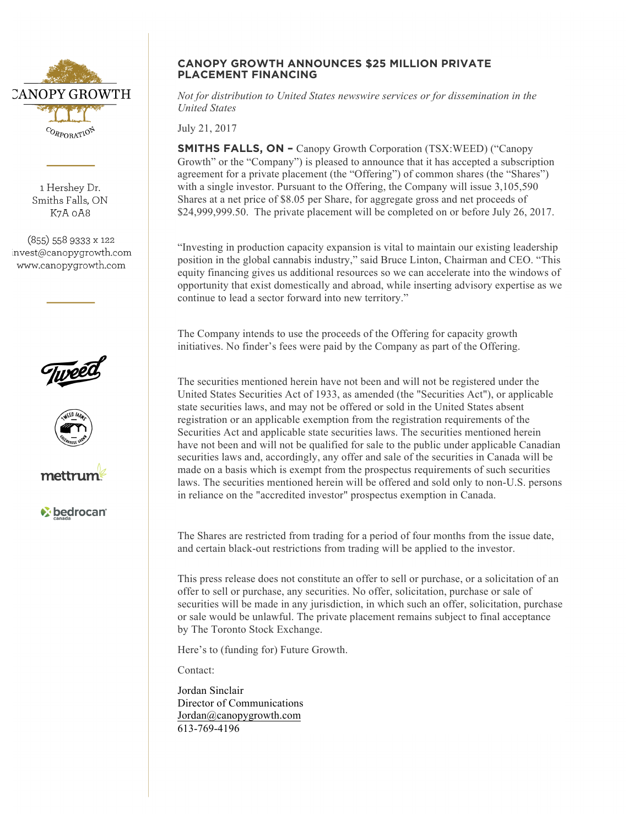

1 Hershey Dr. Smiths Falls, ON K7A 0A8

 $(855)$  558 9333 x 122 invest@canopygrowth.com www.canopygrowth.com







*v* bedrocan

## **CANOPY GROWTH ANNOUNCES \$25 MILLION PRIVATE PLACEMENT FINANCING**

*Not for distribution to United States newswire services or for dissemination in the United States*

July 21, 2017

**SMITHS FALLS, ON –** Canopy Growth Corporation (TSX:WEED) ("Canopy Growth" or the "Company") is pleased to announce that it has accepted a subscription agreement for a private placement (the "Offering") of common shares (the "Shares") with a single investor. Pursuant to the Offering, the Company will issue 3,105,590 Shares at a net price of \$8.05 per Share, for aggregate gross and net proceeds of \$24,999,999.50. The private placement will be completed on or before July 26, 2017.

"Investing in production capacity expansion is vital to maintain our existing leadership position in the global cannabis industry," said Bruce Linton, Chairman and CEO. "This equity financing gives us additional resources so we can accelerate into the windows of opportunity that exist domestically and abroad, while inserting advisory expertise as we continue to lead a sector forward into new territory."

The Company intends to use the proceeds of the Offering for capacity growth initiatives. No finder's fees were paid by the Company as part of the Offering.

The securities mentioned herein have not been and will not be registered under the United States Securities Act of 1933, as amended (the "Securities Act"), or applicable state securities laws, and may not be offered or sold in the United States absent registration or an applicable exemption from the registration requirements of the Securities Act and applicable state securities laws. The securities mentioned herein have not been and will not be qualified for sale to the public under applicable Canadian securities laws and, accordingly, any offer and sale of the securities in Canada will be made on a basis which is exempt from the prospectus requirements of such securities laws. The securities mentioned herein will be offered and sold only to non-U.S. persons in reliance on the "accredited investor" prospectus exemption in Canada.

The Shares are restricted from trading for a period of four months from the issue date, and certain black-out restrictions from trading will be applied to the investor.

This press release does not constitute an offer to sell or purchase, or a solicitation of an offer to sell or purchase, any securities. No offer, solicitation, purchase or sale of securities will be made in any jurisdiction, in which such an offer, solicitation, purchase or sale would be unlawful. The private placement remains subject to final acceptance by The Toronto Stock Exchange.

Here's to (funding for) Future Growth.

Contact:

Jordan Sinclair Director of Communications Jordan@canopygrowth.com 613-769-4196